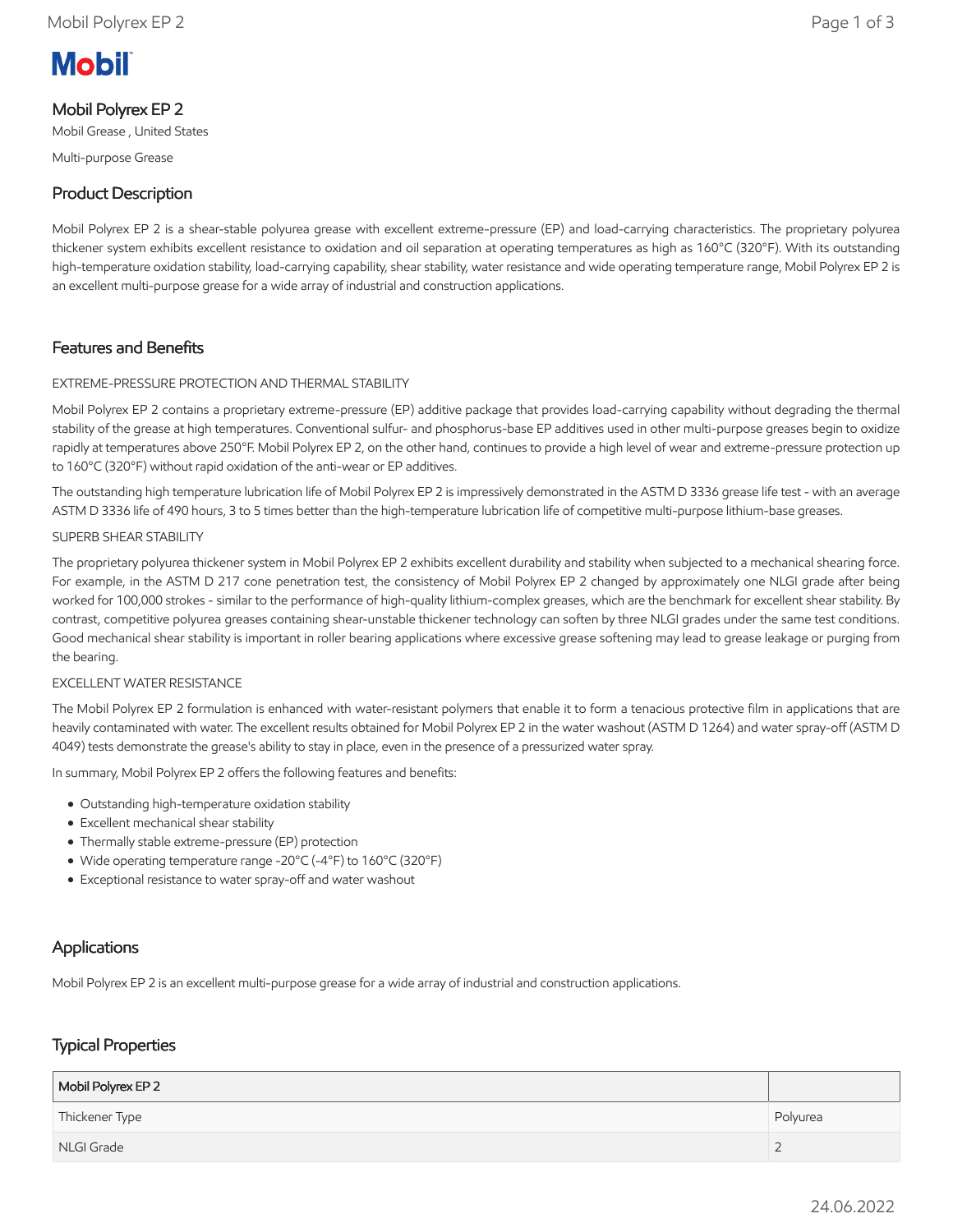# **Mobil**

# Mobil Polyrex EP 2

Mobil Grease , United States

Multi-purpose Grease

# Product Description

Mobil Polyrex EP 2 is a shear-stable polyurea grease with excellent extreme-pressure (EP) and load-carrying characteristics. The proprietary polyurea thickener system exhibits excellent resistance to oxidation and oil separation at operating temperatures as high as 160°C (320°F). With its outstanding high-temperature oxidation stability, load-carrying capability, shear stability, water resistance and wide operating temperature range, Mobil Polyrex EP 2 is an excellent multi-purpose grease for a wide array of industrial and construction applications.

## Features and Benefits

#### EXTREME-PRESSURE PROTECTION AND THERMAL STABILITY

Mobil Polyrex EP 2 contains a proprietary extreme-pressure (EP) additive package that provides load-carrying capability without degrading the thermal stability of the grease at high temperatures. Conventional sulfur- and phosphorus-base EP additives used in other multi-purpose greases begin to oxidize rapidly at temperatures above 250°F. Mobil Polyrex EP 2, on the other hand, continues to provide a high level of wear and extreme-pressure protection up to 160°C (320°F) without rapid oxidation of the anti-wear or EP additives.

The outstanding high temperature lubrication life of Mobil Polyrex EP 2 is impressively demonstrated in the ASTM D 3336 grease life test - with an average ASTM D 3336 life of 490 hours, 3 to 5 times better than the high-temperature lubrication life of competitive multi-purpose lithium-base greases.

#### SUPERB SHEAR STABILITY

The proprietary polyurea thickener system in Mobil Polyrex EP 2 exhibits excellent durability and stability when subjected to a mechanical shearing force. For example, in the ASTM D 217 cone penetration test, the consistency of Mobil Polyrex EP 2 changed by approximately one NLGI grade after being worked for 100,000 strokes - similar to the performance of high-quality lithium-complex greases, which are the benchmark for excellent shear stability. By contrast, competitive polyurea greases containing shear-unstable thickener technology can soften by three NLGI grades under the same test conditions. Good mechanical shear stability is important in roller bearing applications where excessive grease softening may lead to grease leakage or purging from the bearing.

#### EXCELLENT WATER RESISTANCE

The Mobil Polyrex EP 2 formulation is enhanced with water-resistant polymers that enable it to form a tenacious protective film in applications that are heavily contaminated with water. The excellent results obtained for Mobil Polyrex EP 2 in the water washout (ASTM D 1264) and water spray-off (ASTM D 4049) tests demonstrate the grease's ability to stay in place, even in the presence of a pressurized water spray.

In summary, Mobil Polyrex EP 2 offers the following features and benefits:

- Outstanding high-temperature oxidation stability
- Excellent mechanical shear stability
- Thermally stable extreme-pressure (EP) protection
- Wide operating temperature range -20°C (-4°F) to 160°C (320°F)
- Exceptional resistance to water spray-off and water washout

### Applications

Mobil Polyrex EP 2 is an excellent multi-purpose grease for a wide array of industrial and construction applications.

## Typical Properties

| Mobil Polyrex EP 2 |          |
|--------------------|----------|
| Thickener Type     | Polyurea |
| NLGI Grade         |          |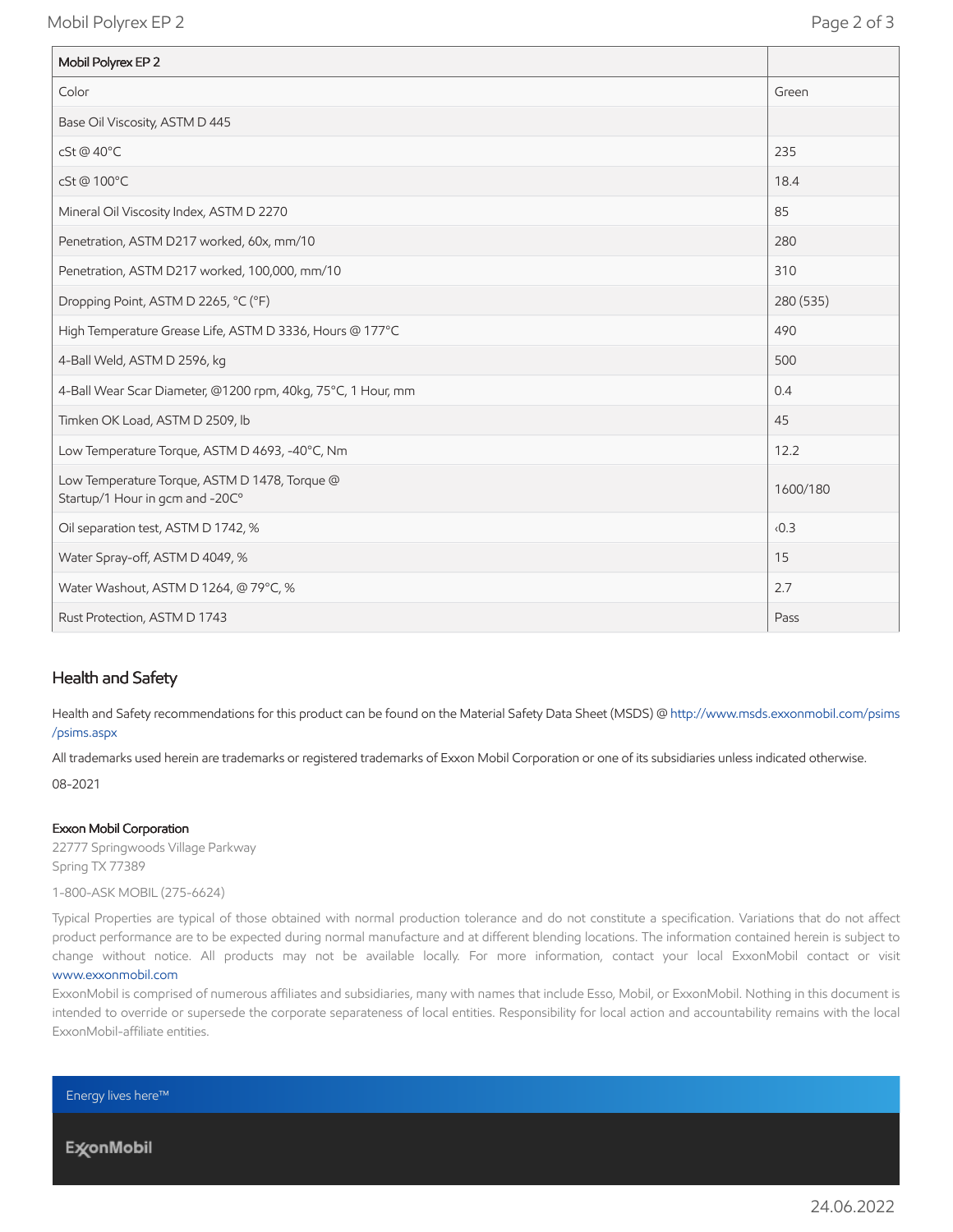Mobil Polyrex EP 2 Page 2 of 3

| Mobil Polyrex EP 2                                                               |           |
|----------------------------------------------------------------------------------|-----------|
| Color                                                                            | Green     |
| Base Oil Viscosity, ASTM D 445                                                   |           |
| cSt @ 40°C                                                                       | 235       |
| cSt@100°C                                                                        | 18.4      |
| Mineral Oil Viscosity Index, ASTM D 2270                                         | 85        |
| Penetration, ASTM D217 worked, 60x, mm/10                                        | 280       |
| Penetration, ASTM D217 worked, 100,000, mm/10                                    | 310       |
| Dropping Point, ASTM D 2265, °C (°F)                                             | 280 (535) |
| High Temperature Grease Life, ASTM D 3336, Hours @ 177°C                         | 490       |
| 4-Ball Weld, ASTM D 2596, kg                                                     | 500       |
| 4-Ball Wear Scar Diameter, @1200 rpm, 40kg, 75°C, 1 Hour, mm                     | 0.4       |
| Timken OK Load, ASTM D 2509, lb                                                  | 45        |
| Low Temperature Torque, ASTM D 4693, -40°C, Nm                                   | 12.2      |
| Low Temperature Torque, ASTM D 1478, Torque @<br>Startup/1 Hour in gcm and -20C° | 1600/180  |
| Oil separation test, ASTM D 1742, %                                              | 0.3       |
| Water Spray-off, ASTM D 4049, %                                                  | 15        |
| Water Washout, ASTM D 1264, @ 79°C, %                                            | 2.7       |
| Rust Protection, ASTM D 1743                                                     | Pass      |

#### Health and Safety

Health and Safety recommendations for this product can be found on the Material Safety Data Sheet (MSDS) @ http://www.msds.exxonmobil.com/psims /psims.aspx

All trademarks used herein are trademarks or registered trademarks of Exxon Mobil Corporation or one of its subsidiaries unless indicated otherwise.

08-2021

#### Exxon Mobil Corporation

22777 Springwoods Village Parkway Spring TX 77389

1-800-ASK MOBIL (275-6624)

Typical Properties are typical of those obtained with normal production tolerance and do not constitute a specification. Variations that do not affect product performance are to be expected during normal manufacture and at different blending locations. The information contained herein is subject to change without notice. All products may not be available locally. For more information, contact your local ExxonMobil contact or visit [www.exxonmobil.com](http://www.exxonmobil.com/)

ExxonMobil is comprised of numerous affiliates and subsidiaries, many with names that include Esso, Mobil, or ExxonMobil. Nothing in this document is intended to override or supersede the corporate separateness of local entities. Responsibility for local action and accountability remains with the local ExxonMobil-affiliate entities.

Energy lives here™

**ExconMobil**